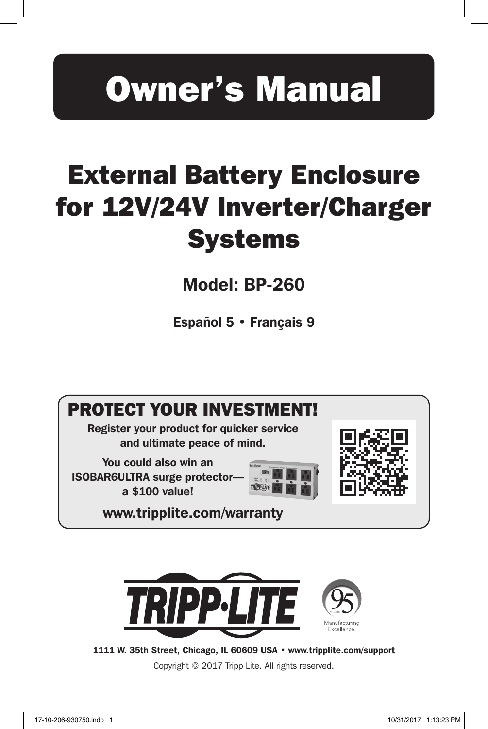# Owner's Manual

# External Battery Enclosure for 12V/24V Inverter/Charger **Systems**

Model: BP-260

Español 5 • Français 9



Register your product for quicker service and ultimate peace of mind.

You could also win an ISOBAR6ULTRA surge protector a \$100 value!





www.tripplite.com/warranty



1111 W. 35th Street, Chicago, IL 60609 USA • www.tripplite.com/support

Copyright © 2017 Tripp Lite. All rights reserved.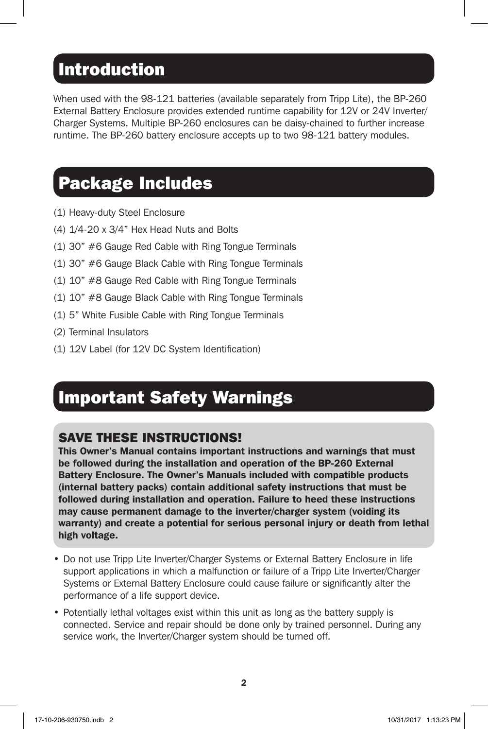## Introduction

When used with the 98-121 batteries (available separately from Tripp Lite), the BP-260 External Battery Enclosure provides extended runtime capability for 12V or 24V Inverter/ Charger Systems. Multiple BP-260 enclosures can be daisy-chained to further increase runtime. The BP-260 battery enclosure accepts up to two 98-121 battery modules.

## Package Includes

- (1) Heavy-duty Steel Enclosure
- (4) 1/4-20 x 3/4" Hex Head Nuts and Bolts
- (1) 30" #6 Gauge Red Cable with Ring Tongue Terminals
- (1) 30" #6 Gauge Black Cable with Ring Tongue Terminals
- (1) 10" #8 Gauge Red Cable with Ring Tongue Terminals
- (1) 10" #8 Gauge Black Cable with Ring Tongue Terminals
- (1) 5" White Fusible Cable with Ring Tongue Terminals
- (2) Terminal Insulators
- (1) 12V Label (for 12V DC System Identification)

# Important Safety Warnings

### SAVE THESE INSTRUCTIONS!

This Owner's Manual contains important instructions and warnings that must be followed during the installation and operation of the BP-260 External Battery Enclosure. The Owner's Manuals included with compatible products (internal battery packs) contain additional safety instructions that must be followed during installation and operation. Failure to heed these instructions may cause permanent damage to the inverter/charger system (voiding its warranty) and create a potential for serious personal injury or death from lethal high voltage.

- Do not use Tripp Lite Inverter/Charger Systems or External Battery Enclosure in life support applications in which a malfunction or failure of a Tripp Lite Inverter/Charger Systems or External Battery Enclosure could cause failure or significantly alter the performance of a life support device.
- Potentially lethal voltages exist within this unit as long as the battery supply is connected. Service and repair should be done only by trained personnel. During any service work, the Inverter/Charger system should be turned off.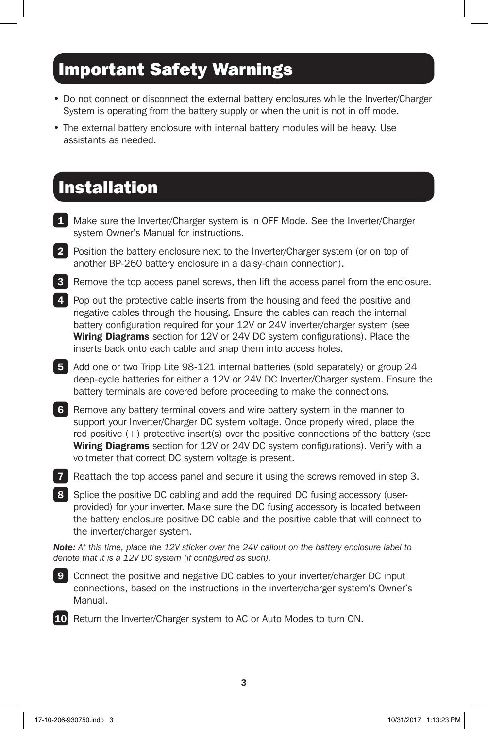# Important Safety Warnings

- Do not connect or disconnect the external battery enclosures while the Inverter/Charger System is operating from the battery supply or when the unit is not in off mode.
- The external battery enclosure with internal battery modules will be heavy. Use assistants as needed.

## Installation

- 1 Make sure the Inverter/Charger system is in OFF Mode. See the Inverter/Charger system Owner's Manual for instructions.
- 2 Position the battery enclosure next to the Inverter/Charger system (or on top of another BP-260 battery enclosure in a daisy-chain connection).
- **3** Remove the top access panel screws, then lift the access panel from the enclosure.
- **4** Pop out the protective cable inserts from the housing and feed the positive and negative cables through the housing. Ensure the cables can reach the internal battery configuration required for your 12V or 24V inverter/charger system (see **Wiring Diagrams** section for 12V or 24V DC system configurations). Place the inserts back onto each cable and snap them into access holes.
- 5 Add one or two Tripp Lite 98-121 internal batteries (sold separately) or group 24 deep-cycle batteries for either a 12V or 24V DC Inverter/Charger system. Ensure the battery terminals are covered before proceeding to make the connections.
- 6 Remove any battery terminal covers and wire battery system in the manner to support your Inverter/Charger DC system voltage. Once properly wired, place the red positive (+) protective insert(s) over the positive connections of the battery (see **Wiring Diagrams** section for 12V or 24V DC system configurations). Verify with a voltmeter that correct DC system voltage is present.
- **7** Reattach the top access panel and secure it using the screws removed in step 3.
- 8 Splice the positive DC cabling and add the required DC fusing accessory (userprovided) for your inverter. Make sure the DC fusing accessory is located between the battery enclosure positive DC cable and the positive cable that will connect to the inverter/charger system.

*Note: At this time, place the 12V sticker over the 24V callout on the battery enclosure label to denote that it is a 12V DC system (if configured as such).*



**9** Connect the positive and negative DC cables to your inverter/charger DC input connections, based on the instructions in the inverter/charger system's Owner's Manual.



10 Return the Inverter/Charger system to AC or Auto Modes to turn ON.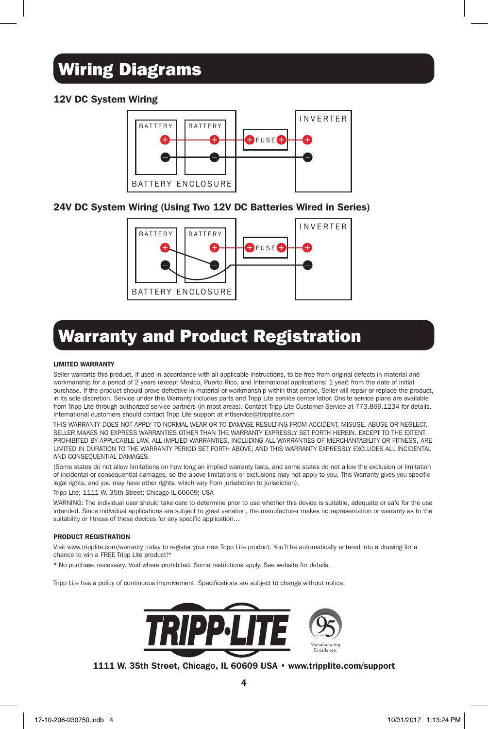# Wiring Diagrams

### 12V DC System Wiring



### 24V DC System Wiring (Using Two 12V DC Batteries Wired in Series)



# Warranty and Product Registration

#### LIMITED WARRANTY

Seller warrants this product, if used in accordance with all applicable instructions, to be free from original defects in material and workmanship for a period of 2 years (except Mexico, Puerto Rico, and International applications: 1 year) from the date of initial purchase. If the product should prove defective in material or workmanship within that period, Seller will repair or replace the product, in its sole discretion. Service under this Warranty includes parts and Tripp Lite service center labor. Onsite service plans are available from Tripp Lite through authorized service partners (in most areas). Contact Tripp Lite Customer Service at 773.869.1234 for details. International customers should contact Tripp Lite support at intlservice@tripplite.com

THIS WARRANTY DOES NOT APPLY TO NORMAL WEAR OR TO DAMAGE RESULTING FROM ACCIDENT, MISUSE, ABUSE OR NEGLECT. SELLER MAKES NO EXPRESS WARRANTIES OTHER THAN THE WARRANTY EXPRESSLY SET FORTH HEREIN. EXCEPT TO THE EXTENT PROHIBITED BY APPLICABLE LAW, ALL IMPLIED WARRANTIES, INCLUDING ALL WARRANTIES OF MERCHANTABILITY OR FITNESS, ARE LIMITED IN DURATION TO THE WARRANTY PERIOD SET FORTH ABOVE; AND THIS WARRANTY EXPRESSLY EXCLUDES ALL INCIDENTAL AND CONSEQUENTIAL DAMAGES.

(Some states do not allow limitations on how long an implied warranty lasts, and some states do not allow the exclusion or limitation of incidental or consequential damages, so the above limitations or exclusions may not apply to you. This Warranty gives you specific legal rights, and you may have other rights, which vary from jurisdiction to jurisdiction).

Tripp Lite; 1111 W. 35th Street; Chicago IL 60609; USA

WARNING: The individual user should take care to determine prior to use whether this device is suitable, adequate or safe for the use intended. Since individual applications are subject to great variation, the manufacturer makes no representation or warranty as to the suitability or fitness of these devices for any specific application...

#### PRODUCT REGISTRATION

Visit www.tripplite.com/warranty today to register your new Tripp Lite product. You'll be automatically entered into a drawing for a chance to win a FREE Tripp Lite product!\*

\* No purchase necessary. Void where prohibited. Some restrictions apply. See website for details.

Tripp Lite has a policy of continuous improvement. Specifications are subject to change without notice.



1111 W. 35th Street, Chicago, IL 60609 USA • www.tripplite.com/support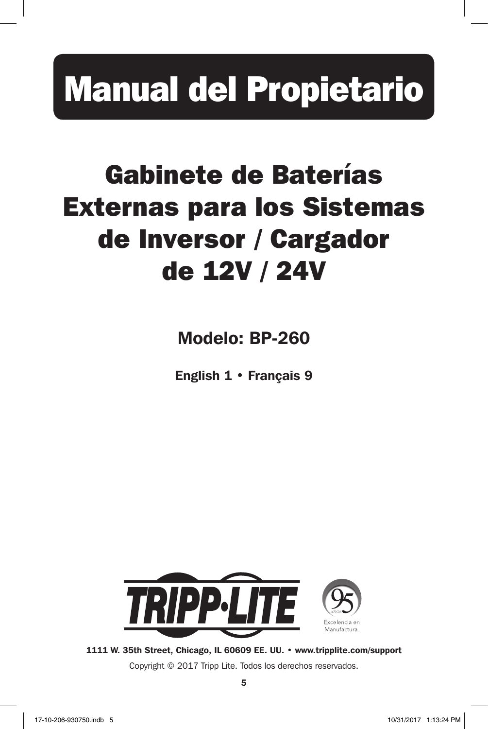# Manual del Propietario

# Gabinete de Baterías Externas para los Sistemas de Inversor / Cargador de 12V / 24V

Modelo: BP-260

English 1 • Français 9



1111 W. 35th Street, Chicago, IL 60609 EE. UU. • www.tripplite.com/support

Copyright © 2017 Tripp Lite. Todos los derechos reservados.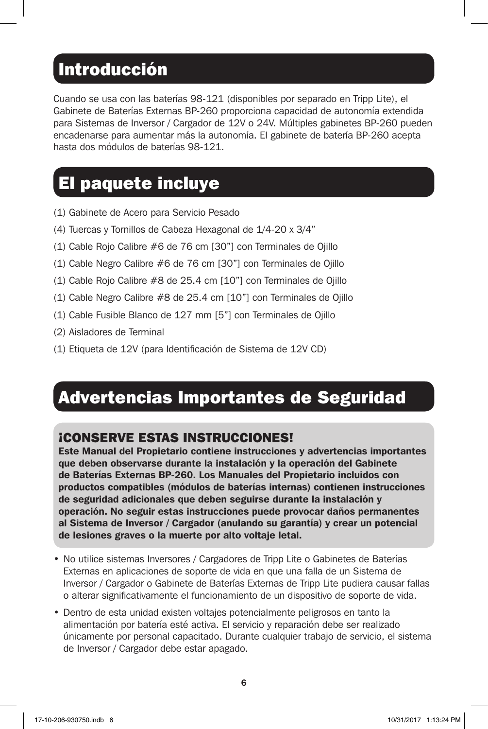## **Introducción**

Cuando se usa con las baterías 98-121 (disponibles por separado en Tripp Lite), el Gabinete de Baterías Externas BP-260 proporciona capacidad de autonomía extendida para Sistemas de Inversor / Cargador de 12V o 24V. Múltiples gabinetes BP-260 pueden encadenarse para aumentar más la autonomía. El gabinete de batería BP-260 acepta hasta dos módulos de baterías 98-121.

# El paquete incluye

- (1) Gabinete de Acero para Servicio Pesado
- (4) Tuercas y Tornillos de Cabeza Hexagonal de 1/4-20 x 3/4"
- (1) Cable Rojo Calibre #6 de 76 cm [30"] con Terminales de Ojillo
- (1) Cable Negro Calibre #6 de 76 cm [30"] con Terminales de Ojillo
- (1) Cable Rojo Calibre #8 de 25.4 cm [10"] con Terminales de Ojillo
- (1) Cable Negro Calibre #8 de 25.4 cm [10"] con Terminales de Ojillo
- (1) Cable Fusible Blanco de 127 mm [5"] con Terminales de Ojillo
- (2) Aisladores de Terminal
- (1) Etiqueta de 12V (para Identificación de Sistema de 12V CD)

## Advertencias Importantes de Seguridad

### ¡CONSERVE ESTAS INSTRUCCIONES!

Este Manual del Propietario contiene instrucciones y advertencias importantes que deben observarse durante la instalación y la operación del Gabinete de Baterías Externas BP-260. Los Manuales del Propietario incluidos con productos compatibles (módulos de baterías internas) contienen instrucciones de seguridad adicionales que deben seguirse durante la instalación y operación. No seguir estas instrucciones puede provocar daños permanentes al Sistema de Inversor / Cargador (anulando su garantía) y crear un potencial de lesiones graves o la muerte por alto voltaje letal.

- No utilice sistemas Inversores / Cargadores de Tripp Lite o Gabinetes de Baterías Externas en aplicaciones de soporte de vida en que una falla de un Sistema de Inversor / Cargador o Gabinete de Baterías Externas de Tripp Lite pudiera causar fallas o alterar significativamente el funcionamiento de un dispositivo de soporte de vida.
- Dentro de esta unidad existen voltajes potencialmente peligrosos en tanto la alimentación por batería esté activa. El servicio y reparación debe ser realizado únicamente por personal capacitado. Durante cualquier trabajo de servicio, el sistema de Inversor / Cargador debe estar apagado.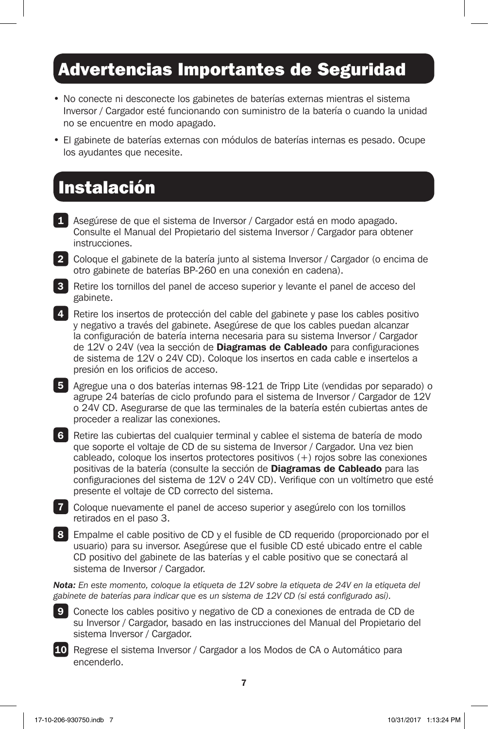## Advertencias Importantes de Seguridad

- No conecte ni desconecte los gabinetes de baterías externas mientras el sistema Inversor / Cargador esté funcionando con suministro de la batería o cuando la unidad no se encuentre en modo apagado.
- El gabinete de baterías externas con módulos de baterías internas es pesado. Ocupe los ayudantes que necesite.

## Instalación

- 1 Asegúrese de que el sistema de Inversor / Cargador está en modo apagado. Consulte el Manual del Propietario del sistema Inversor / Cargador para obtener instrucciones.
- 2 Coloque el gabinete de la batería junto al sistema Inversor / Cargador (o encima de otro gabinete de baterías BP-260 en una conexión en cadena).
- 3 Retire los tornillos del panel de acceso superior y levante el panel de acceso del gabinete.
- 4 Retire los insertos de protección del cable del gabinete y pase los cables positivo y negativo a través del gabinete. Asegúrese de que los cables puedan alcanzar la configuración de batería interna necesaria para su sistema Inversor / Cargador de 12V o 24V (vea la sección de **Diagramas de Cableado** para configuraciones de sistema de 12V o 24V CD). Coloque los insertos en cada cable e insertelos a presión en los orificios de acceso.
- 5 Agregue una o dos baterías internas 98-121 de Tripp Lite (vendidas por separado) o agrupe 24 baterías de ciclo profundo para el sistema de Inversor / Cargador de 12V o 24V CD. Asegurarse de que las terminales de la batería estén cubiertas antes de proceder a realizar las conexiones.
- 6 Retire las cubiertas del cualquier terminal y cablee el sistema de batería de modo que soporte el voltaje de CD de su sistema de Inversor / Cargador. Una vez bien cableado, coloque los insertos protectores positivos (+) rojos sobre las conexiones positivas de la batería (consulte la sección de Diagramas de Cableado para las configuraciones del sistema de 12V o 24V CD). Verifique con un voltímetro que esté presente el voltaje de CD correcto del sistema.
- 7 Coloque nuevamente el panel de acceso superior y asegúrelo con los tornillos retirados en el paso 3.
- 8 Empalme el cable positivo de CD y el fusible de CD requerido (proporcionado por el usuario) para su inversor. Asegúrese que el fusible CD esté ubicado entre el cable CD positivo del gabinete de las baterías y el cable positivo que se conectará al sistema de Inversor / Cargador.

*Nota: En este momento, coloque la etiqueta de 12V sobre la etiqueta de 24V en la etiqueta del gabinete de baterías para indicar que es un sistema de 12V CD (si está configurado así).*



9 Conecte los cables positivo y negativo de CD a conexiones de entrada de CD de su Inversor / Cargador, basado en las instrucciones del Manual del Propietario del sistema Inversor / Cargador.

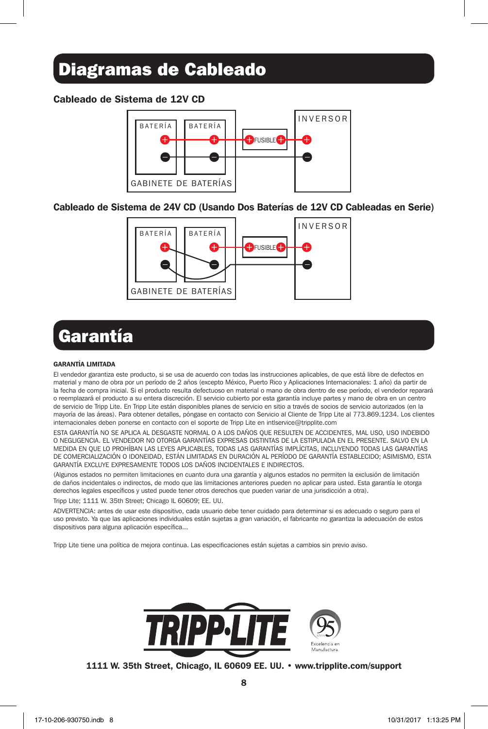## Diagramas de Cableado

#### Cableado de Sistema de 12V CD



#### Cableado de Sistema de 24V CD (Usando Dos Baterías de 12V CD Cableadas en Serie)



# Garantía

#### GARANTÍA LIMITADA

El vendedor garantiza este producto, si se usa de acuerdo con todas las instrucciones aplicables, de que está libre de defectos en material y mano de obra por un período de 2 años (excepto México, Puerto Rico y Aplicaciones Internacionales: 1 año) da partir de la fecha de compra inicial. Si el producto resulta defectuoso en material o mano de obra dentro de ese período, el vendedor reparará o reemplazará el producto a su entera discreción. El servicio cubierto por esta garantía incluye partes y mano de obra en un centro de servicio de Tripp Lite. En Tripp Lite están disponibles planes de servicio en sitio a través de socios de servicio autorizados (en la mayoría de las áreas). Para obtener detalles, póngase en contacto con Servicio al Cliente de Tripp Lite al 773.869.1234. Los clientes internacionales deben ponerse en contacto con el soporte de Tripp Lite en intlservice@tripplite.com

ESTA GARANTÍA NO SE APLICA AL DESGASTE NORMAL O A LOS DAÑOS QUE RESULTEN DE ACCIDENTES, MAL USO, USO INDEBIDO O NEGLIGENCIA. EL VENDEDOR NO OTORGA GARANTÍAS EXPRESAS DISTINTAS DE LA ESTIPULADA EN EL PRESENTE. SALVO EN LA MEDIDA EN QUE LO PROHÍBAN LAS LEYES APLICABLES, TODAS LAS GARANTÍAS IMPLÍCITAS, INCLUYENDO TODAS LAS GARANTÍAS DE COMERCIALIZACIÓN O IDONEIDAD, ESTÁN LIMITADAS EN DURACIÓN AL PERÍODO DE GARANTÍA ESTABLECIDO; ASIMISMO, ESTA GARANTÍA EXCLUYE EXPRESAMENTE TODOS LOS DAÑOS INCIDENTALES E INDIRECTOS.

(Algunos estados no permiten limitaciones en cuanto dura una garantía y algunos estados no permiten la exclusión de limitación de daños incidentales o indirectos, de modo que las limitaciones anteriores pueden no aplicar para usted. Esta garantía le otorga derechos legales específicos y usted puede tener otros derechos que pueden variar de una jurisdicción a otra).

Tripp Lite; 1111 W. 35th Street; Chicago IL 60609; EE. UU.

ADVERTENCIA: antes de usar este dispositivo, cada usuario debe tener cuidado para determinar si es adecuado o seguro para el uso previsto. Ya que las aplicaciones individuales están sujetas a gran variación, el fabricante no garantiza la adecuación de estos dispositivos para alguna aplicación específica...

Tripp Lite tiene una política de mejora continua. Las especificaciones están sujetas a cambios sin previo aviso.



#### 1111 W. 35th Street, Chicago, IL 60609 EE. UU. • www.tripplite.com/support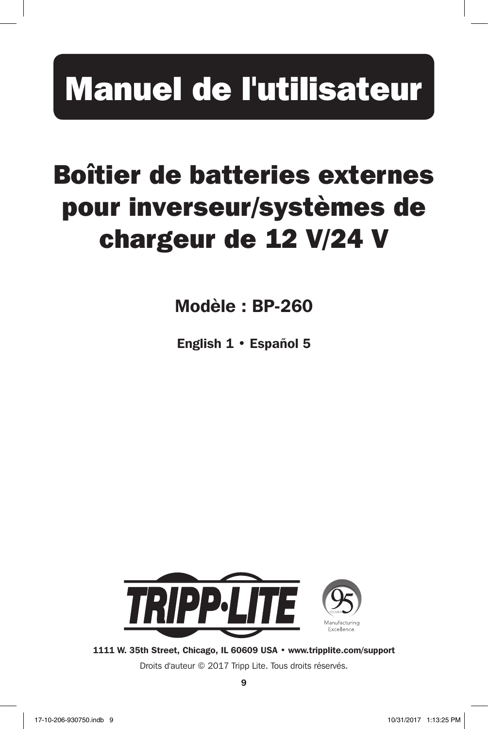# Manuel de l'utilisateur

# Boîtier de batteries externes pour inverseur/systèmes de chargeur de 12 V/24 V

Modèle : BP-260

English 1 • Español 5



1111 W. 35th Street, Chicago, IL 60609 USA • www.tripplite.com/support

Droits d'auteur © 2017 Tripp Lite. Tous droits réservés.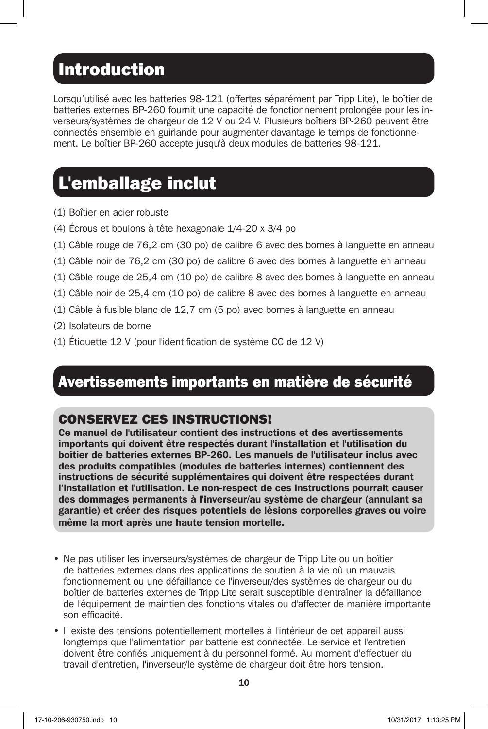## Introduction

Lorsqu'utilisé avec les batteries 98-121 (offertes séparément par Tripp Lite), le boîtier de batteries externes BP-260 fournit une capacité de fonctionnement prolongée pour les inverseurs/systèmes de chargeur de 12 V ou 24 V. Plusieurs boîtiers BP-260 peuvent être connectés ensemble en guirlande pour augmenter davantage le temps de fonctionnement. Le boîtier BP-260 accepte jusqu'à deux modules de batteries 98-121.

# L'emballage inclut

- (1) Boîtier en acier robuste
- (4) Écrous et boulons à tête hexagonale 1/4-20 x 3/4 po
- (1) Câble rouge de 76,2 cm (30 po) de calibre 6 avec des bornes à languette en anneau
- (1) Câble noir de 76,2 cm (30 po) de calibre 6 avec des bornes à languette en anneau
- (1) Câble rouge de 25,4 cm (10 po) de calibre 8 avec des bornes à languette en anneau
- (1) Câble noir de 25,4 cm (10 po) de calibre 8 avec des bornes à languette en anneau
- (1) Câble à fusible blanc de 12,7 cm (5 po) avec bornes à languette en anneau
- (2) Isolateurs de borne
- (1) Étiquette 12 V (pour l'identification de système CC de 12 V)

## Avertissements importants en matière de sécurité

### CONSERVEZ CES INSTRUCTIONS!

Ce manuel de l'utilisateur contient des instructions et des avertissements importants qui doivent être respectés durant l'installation et l'utilisation du boîtier de batteries externes BP-260. Les manuels de l'utilisateur inclus avec des produits compatibles (modules de batteries internes) contiennent des instructions de sécurité supplémentaires qui doivent être respectées durant l'installation et l'utilisation. Le non-respect de ces instructions pourrait causer des dommages permanents à l'inverseur/au système de chargeur (annulant sa garantie) et créer des risques potentiels de lésions corporelles graves ou voire même la mort après une haute tension mortelle.

- Ne pas utiliser les inverseurs/systèmes de chargeur de Tripp Lite ou un boîtier de batteries externes dans des applications de soutien à la vie où un mauvais fonctionnement ou une défaillance de l'inverseur/des systèmes de chargeur ou du boîtier de batteries externes de Tripp Lite serait susceptible d'entraîner la défaillance de l'équipement de maintien des fonctions vitales ou d'affecter de manière importante son efficacité.
- Il existe des tensions potentiellement mortelles à l'intérieur de cet appareil aussi longtemps que l'alimentation par batterie est connectée. Le service et l'entretien doivent être confiés uniquement à du personnel formé. Au moment d'effectuer du travail d'entretien, l'inverseur/le système de chargeur doit être hors tension.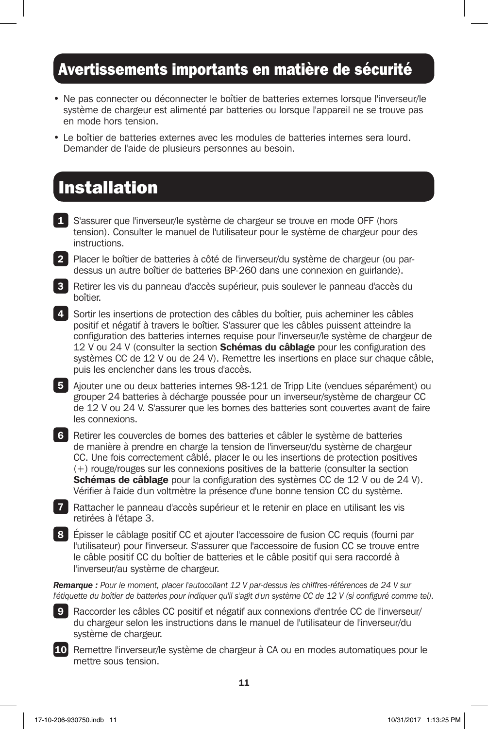### Avertissements importants en matière de sécurité

- Ne pas connecter ou déconnecter le boîtier de batteries externes lorsque l'inverseur/le système de chargeur est alimenté par batteries ou lorsque l'appareil ne se trouve pas en mode hors tension.
- Le boîtier de batteries externes avec les modules de batteries internes sera lourd. Demander de l'aide de plusieurs personnes au besoin.

## Installation

- 1 S'assurer que l'inverseur/le système de chargeur se trouve en mode OFF (hors tension). Consulter le manuel de l'utilisateur pour le système de chargeur pour des instructions.
- 2 Placer le boîtier de batteries à côté de l'inverseur/du système de chargeur (ou pardessus un autre boîtier de batteries BP-260 dans une connexion en guirlande).
- 3 Retirer les vis du panneau d'accès supérieur, puis soulever le panneau d'accès du boîtier.
- 4 Sortir les insertions de protection des câbles du boîtier, puis acheminer les câbles positif et négatif à travers le boîtier. S'assurer que les câbles puissent atteindre la configuration des batteries internes requise pour l'inverseur/le système de chargeur de 12 V ou 24 V (consulter la section **Schémas du câblage** pour les configuration des systèmes CC de 12 V ou de 24 V). Remettre les insertions en place sur chaque câble, puis les enclencher dans les trous d'accès.
- 5 Ajouter une ou deux batteries internes 98-121 de Tripp Lite (vendues séparément) ou grouper 24 batteries à décharge poussée pour un inverseur/système de chargeur CC de 12 V ou 24 V. S'assurer que les bornes des batteries sont couvertes avant de faire les connexions.
- 6 Retirer les couvercles de bornes des batteries et câbler le système de batteries de manière à prendre en charge la tension de l'inverseur/du système de chargeur CC. Une fois correctement câblé, placer le ou les insertions de protection positives (+) rouge/rouges sur les connexions positives de la batterie (consulter la section Schémas de câblage pour la configuration des systèmes CC de 12 V ou de 24 V). Vérifier à l'aide d'un voltmètre la présence d'une bonne tension CC du système.

7 Rattacher le panneau d'accès supérieur et le retenir en place en utilisant les vis retirées à l'étape 3.

8 Épisser le câblage positif CC et ajouter l'accessoire de fusion CC requis (fourni par l'utilisateur) pour l'inverseur. S'assurer que l'accessoire de fusion CC se trouve entre le câble positif CC du boîtier de batteries et le câble positif qui sera raccordé à l'inverseur/au système de chargeur.

*Remarque : Pour le moment, placer l'autocollant 12 V par-dessus les chiffres-références de 24 V sur l'étiquette du boîtier de batteries pour indiquer qu'il s'agit d'un système CC de 12 V (si configuré comme tel).*



9 Raccorder les câbles CC positif et négatif aux connexions d'entrée CC de l'inverseur/ du chargeur selon les instructions dans le manuel de l'utilisateur de l'inverseur/du système de chargeur.



10 Remettre l'inverseur/le système de chargeur à CA ou en modes automatiques pour le mettre sous tension.